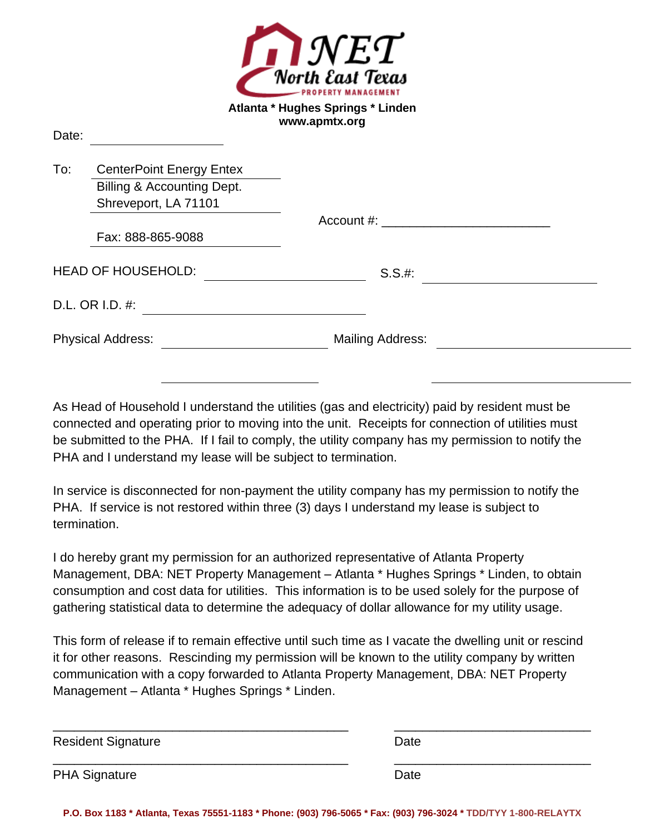

## **Atlanta \* Hughes Springs \* Linden www.apmtx.org**

Doto:

| Dais. |                                       |                         |  |
|-------|---------------------------------------|-------------------------|--|
| To:   | <b>CenterPoint Energy Entex</b>       |                         |  |
|       | <b>Billing &amp; Accounting Dept.</b> |                         |  |
|       | Shreveport, LA 71101                  |                         |  |
|       |                                       |                         |  |
|       | Fax: 888-865-9088                     |                         |  |
|       | <b>HEAD OF HOUSEHOLD:</b>             | S.S.#:                  |  |
|       | D.L. OR I.D. #:                       |                         |  |
|       | <b>Physical Address:</b>              | <b>Mailing Address:</b> |  |
|       |                                       |                         |  |

As Head of Household I understand the utilities (gas and electricity) paid by resident must be connected and operating prior to moving into the unit. Receipts for connection of utilities must be submitted to the PHA. If I fail to comply, the utility company has my permission to notify the PHA and I understand my lease will be subject to termination.

In service is disconnected for non-payment the utility company has my permission to notify the PHA. If service is not restored within three (3) days I understand my lease is subject to termination.

I do hereby grant my permission for an authorized representative of Atlanta Property Management, DBA: NET Property Management – Atlanta \* Hughes Springs \* Linden, to obtain consumption and cost data for utilities. This information is to be used solely for the purpose of gathering statistical data to determine the adequacy of dollar allowance for my utility usage.

This form of release if to remain effective until such time as I vacate the dwelling unit or rescind it for other reasons. Rescinding my permission will be known to the utility company by written communication with a copy forwarded to Atlanta Property Management, DBA: NET Property Management – Atlanta \* Hughes Springs \* Linden.

| <b>Resident Signature</b> | Date |
|---------------------------|------|
| <b>PHA Signature</b>      | Date |